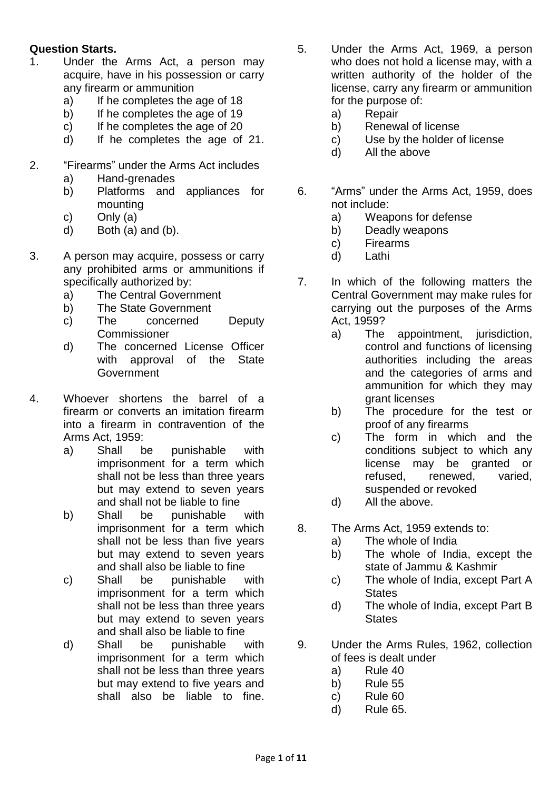## **Question Starts.**

- 1. Under the Arms Act, a person may acquire, have in his possession or carry any firearm or ammunition
	- a) If he completes the age of 18
	- b) If he completes the age of 19
	- c) If he completes the age of 20
	- d) If he completes the age of 21.
- 2. "Firearms" under the Arms Act includes
	- a) Hand-grenades
	- b) Platforms and appliances for mounting
	- c) Only (a)
	- d) Both (a) and (b).
- 3. A person may acquire, possess or carry any prohibited arms or ammunitions if specifically authorized by:
	- a) The Central Government
	- b) The State Government
	- c) The concerned Deputy **Commissioner**
	- d) The concerned License Officer with approval of the State **Government**
- 4. Whoever shortens the barrel of a firearm or converts an imitation firearm into a firearm in contravention of the Arms Act, 1959:
	- a) Shall be punishable with imprisonment for a term which shall not be less than three years but may extend to seven years and shall not be liable to fine
	- b) Shall be punishable with imprisonment for a term which shall not be less than five years but may extend to seven years and shall also be liable to fine
	- c) Shall be punishable with imprisonment for a term which shall not be less than three years but may extend to seven years and shall also be liable to fine
	- d) Shall be punishable with imprisonment for a term which shall not be less than three years but may extend to five years and shall also be liable to fine.
- 5. Under the Arms Act, 1969, a person who does not hold a license may, with a written authority of the holder of the license, carry any firearm or ammunition for the purpose of:
	- a) Repair
	- b) Renewal of license
	- c) Use by the holder of license
	- d) All the above
- 6. "Arms" under the Arms Act, 1959, does not include:
	- a) Weapons for defense
	- b) Deadly weapons
	- c) Firearms
	- d) Lathi
- 7. In which of the following matters the Central Government may make rules for carrying out the purposes of the Arms Act, 1959?
	- a) The appointment, jurisdiction, control and functions of licensing authorities including the areas and the categories of arms and ammunition for which they may grant licenses
	- b) The procedure for the test or proof of any firearms
	- c) The form in which and the conditions subject to which any license may be granted or refused, renewed, varied, suspended or revoked
	- d) All the above.
- 8. The Arms Act, 1959 extends to:
	- a) The whole of India
	- b) The whole of India, except the state of Jammu & Kashmir
	- c) The whole of India, except Part A **States**
	- d) The whole of India, except Part B **States**
- 9. Under the Arms Rules, 1962, collection of fees is dealt under
	- a) Rule 40
	- b) Rule 55
	- c) Rule 60
	- d) Rule 65.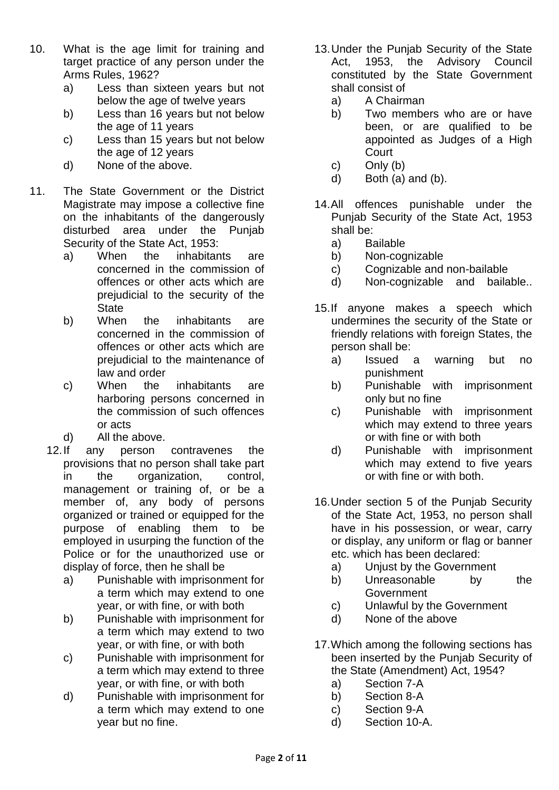- 10. What is the age limit for training and target practice of any person under the Arms Rules, 1962?
	- a) Less than sixteen years but not below the age of twelve years
	- b) Less than 16 years but not below the age of 11 years
	- c) Less than 15 years but not below the age of 12 years
	- d) None of the above.
- 11. The State Government or the District Magistrate may impose a collective fine on the inhabitants of the dangerously disturbed area under the Punjab Security of the State Act, 1953:
	- a) When the inhabitants are concerned in the commission of offences or other acts which are prejudicial to the security of the **State**
	- b) When the inhabitants are concerned in the commission of offences or other acts which are prejudicial to the maintenance of law and order
	- c) When the inhabitants are harboring persons concerned in the commission of such offences or acts
	- d) All the above.
	- 12.If any person contravenes the provisions that no person shall take part in the organization, control, management or training of, or be a member of, any body of persons organized or trained or equipped for the purpose of enabling them to be employed in usurping the function of the Police or for the unauthorized use or display of force, then he shall be
		- a) Punishable with imprisonment for a term which may extend to one year, or with fine, or with both
		- b) Punishable with imprisonment for a term which may extend to two year, or with fine, or with both
		- c) Punishable with imprisonment for a term which may extend to three year, or with fine, or with both
		- d) Punishable with imprisonment for a term which may extend to one year but no fine.
- 13.Under the Punjab Security of the State Act, 1953, the Advisory Council constituted by the State Government shall consist of
	- a) A Chairman
	- b) Two members who are or have been, or are qualified to be appointed as Judges of a High **Court**
	- c) Only (b)
	- d) Both (a) and (b).
- 14.All offences punishable under the Punjab Security of the State Act, 1953 shall be:
	- a) Bailable
	- b) Non-cognizable
	- c) Cognizable and non-bailable
	- d) Non-cognizable and bailable..
- 15.If anyone makes a speech which undermines the security of the State or friendly relations with foreign States, the person shall be:
	- a) Issued a warning but no punishment
	- b) Punishable with imprisonment only but no fine
	- c) Punishable with imprisonment which may extend to three years or with fine or with both
	- d) Punishable with imprisonment which may extend to five years or with fine or with both.
- 16.Under section 5 of the Punjab Security of the State Act, 1953, no person shall have in his possession, or wear, carry or display, any uniform or flag or banner etc. which has been declared:
	- a) Unjust by the Government
	- b) Unreasonable by the Government
	- c) Unlawful by the Government
	- d) None of the above
- 17.Which among the following sections has been inserted by the Punjab Security of the State (Amendment) Act, 1954?
	- a) Section 7-A
	- b) Section 8-A
	- c) Section 9-A
	- d) Section 10-A.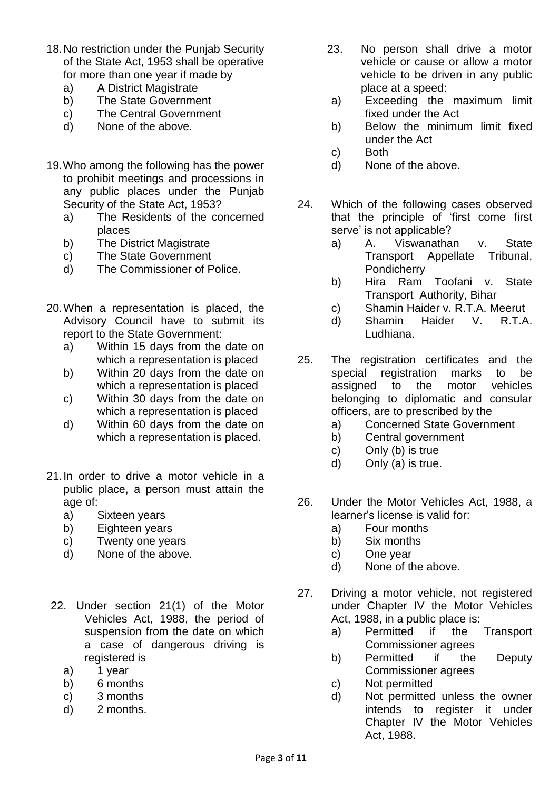- 18.No restriction under the Punjab Security of the State Act, 1953 shall be operative for more than one year if made by
	- a) A District Magistrate
	- b) The State Government
	- c) The Central Government
	- d) None of the above.
- 19.Who among the following has the power to prohibit meetings and processions in any public places under the Punjab Security of the State Act, 1953?
	- a) The Residents of the concerned places
	- b) The District Magistrate
	- c) The State Government
	- d) The Commissioner of Police.
- 20.When a representation is placed, the Advisory Council have to submit its report to the State Government:
	- a) Within 15 days from the date on which a representation is placed
	- b) Within 20 days from the date on which a representation is placed
	- c) Within 30 days from the date on which a representation is placed
	- d) Within 60 days from the date on which a representation is placed.
- 21.In order to drive a motor vehicle in a public place, a person must attain the age of:
	- a) Sixteen years
	- b) Eighteen years
	- c) Twenty one years
	- d) None of the above.
- 22. Under section 21(1) of the Motor Vehicles Act, 1988, the period of suspension from the date on which a case of dangerous driving is registered is
	- a) 1 year
	- b) 6 months
	- c) 3 months
	- d) 2 months.
- 23. No person shall drive a motor vehicle or cause or allow a motor vehicle to be driven in any public place at a speed:
- a) Exceeding the maximum limit fixed under the Act
- b) Below the minimum limit fixed under the Act
- c) Both
- d) None of the above.
- 24. Which of the following cases observed that the principle of 'first come first serve' is not applicable?
	- a) A. Viswanathan v. State Transport Appellate Tribunal, **Pondicherry**
	- b) Hira Ram Toofani v. State Transport Authority, Bihar
	- c) Shamin Haider v. R.T.A. Meerut
	- d) Shamin Haider V. R.T.A. Ludhiana.
- 25. The registration certificates and the special registration marks to be assigned to the motor vehicles belonging to diplomatic and consular officers, are to prescribed by the
	- a) Concerned State Government
	- b) Central government
	- c) Only (b) is true
	- d) Only (a) is true.
- 26. Under the Motor Vehicles Act, 1988, a learner's license is valid for:
	- a) Four months
	- b) Six months
	- c) One year
	- d) None of the above.
- 27. Driving a motor vehicle, not registered under Chapter IV the Motor Vehicles Act, 1988, in a public place is:
	- a) Permitted if the Transport Commissioner agrees
	- b) Permitted if the Deputy Commissioner agrees
	- c) Not permitted
	- d) Not permitted unless the owner intends to register it under Chapter IV the Motor Vehicles Act, 1988.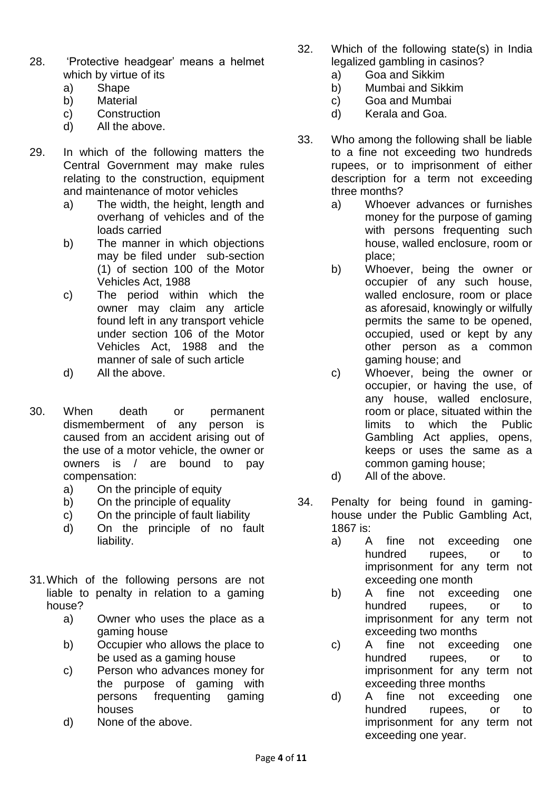- 28. 'Protective headgear' means a helmet which by virtue of its
	- a) Shape
	- b) Material
	- c) Construction
	- d) All the above.
- 29. In which of the following matters the Central Government may make rules relating to the construction, equipment and maintenance of motor vehicles
	- a) The width, the height, length and overhang of vehicles and of the loads carried
	- b) The manner in which objections may be filed under sub-section (1) of section 100 of the Motor Vehicles Act, 1988
	- c) The period within which the owner may claim any article found left in any transport vehicle under section 106 of the Motor Vehicles Act, 1988 and the manner of sale of such article
	- d) All the above.
- 30. When death or permanent dismemberment of any person is caused from an accident arising out of the use of a motor vehicle, the owner or owners is / are bound to pay compensation:
	- a) On the principle of equity
	- b) On the principle of equality
	- c) On the principle of fault liability
	- d) On the principle of no fault liability.
- 31.Which of the following persons are not liable to penalty in relation to a gaming house?
	- a) Owner who uses the place as a gaming house
	- b) Occupier who allows the place to be used as a gaming house
	- c) Person who advances money for the purpose of gaming with persons frequenting gaming houses
	- d) None of the above.
- 32. Which of the following state(s) in India legalized gambling in casinos?
	- a) Goa and Sikkim
	- b) Mumbai and Sikkim
	- c) Goa and Mumbai
	- d) Kerala and Goa.
- 33. Who among the following shall be liable to a fine not exceeding two hundreds rupees, or to imprisonment of either description for a term not exceeding three months?
	- a) Whoever advances or furnishes money for the purpose of gaming with persons frequenting such house, walled enclosure, room or place;
	- b) Whoever, being the owner or occupier of any such house, walled enclosure, room or place as aforesaid, knowingly or wilfully permits the same to be opened, occupied, used or kept by any other person as a common gaming house; and
	- c) Whoever, being the owner or occupier, or having the use, of any house, walled enclosure, room or place, situated within the limits to which the Public Gambling Act applies, opens, keeps or uses the same as a common gaming house;
	- d) All of the above.
- 34. Penalty for being found in gaminghouse under the Public Gambling Act, 1867 is:
	- a) A fine not exceeding one hundred rupees, or to imprisonment for any term not exceeding one month
	- b) A fine not exceeding one hundred rupees, or to imprisonment for any term not exceeding two months
	- c) A fine not exceeding one hundred rupees, or to imprisonment for any term not exceeding three months
	- d) A fine not exceeding one hundred rupees, or to imprisonment for any term not exceeding one year.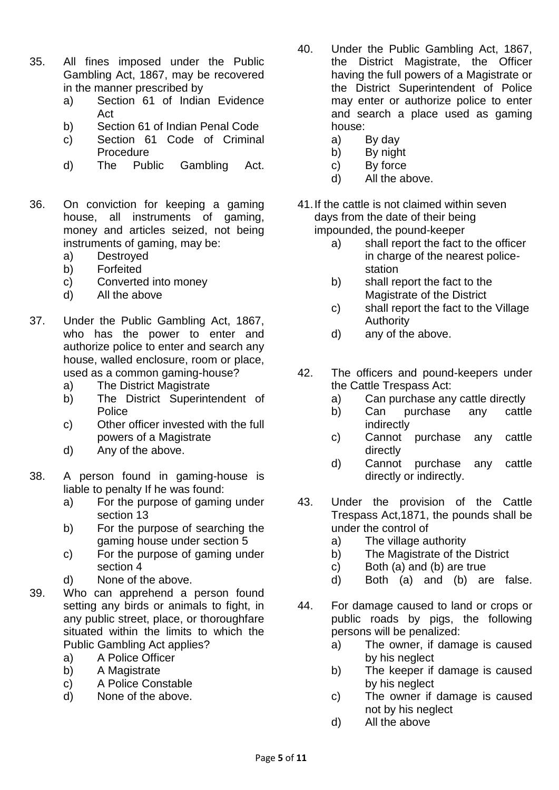- 35. All fines imposed under the Public Gambling Act, 1867, may be recovered in the manner prescribed by
	- a) Section 61 of Indian Evidence Act
	- b) Section 61 of Indian Penal Code
	- c) Section 61 Code of Criminal Procedure
	- d) The Public Gambling Act.
- 36. On conviction for keeping a gaming house, all instruments of gaming, money and articles seized, not being instruments of gaming, may be:
	- a) Destroyed
	- b) Forfeited
	- c) Converted into money
	- d) All the above
- 37. Under the Public Gambling Act, 1867, who has the power to enter and authorize police to enter and search any house, walled enclosure, room or place, used as a common gaming-house?
	- a) The District Magistrate
	- b) The District Superintendent of Police
	- c) Other officer invested with the full powers of a Magistrate
	- d) Any of the above.
- 38. A person found in gaming-house is liable to penalty If he was found:
	- a) For the purpose of gaming under section 13
	- b) For the purpose of searching the gaming house under section 5
	- c) For the purpose of gaming under section 4
	- d) None of the above.
- 39. Who can apprehend a person found setting any birds or animals to fight, in any public street, place, or thoroughfare situated within the limits to which the Public Gambling Act applies?
	- a) A Police Officer
	- b) A Magistrate
	- c) A Police Constable
	- d) None of the above.
- 40. Under the Public Gambling Act, 1867, the District Magistrate, the Officer having the full powers of a Magistrate or the District Superintendent of Police may enter or authorize police to enter and search a place used as gaming house:
	- a) By day
	- b) By night
	- c) By force
	- d) All the above.
- 41.If the cattle is not claimed within seven days from the date of their being impounded, the pound-keeper
	- a) shall report the fact to the officer in charge of the nearest policestation
	- b) shall report the fact to the Magistrate of the District
	- c) shall report the fact to the Village Authority
	- d) any of the above.
- 42. The officers and pound-keepers under the Cattle Trespass Act:
	- a) Can purchase any cattle directly
	- b) Can purchase any cattle indirectly
	- c) Cannot purchase any cattle directly
	- d) Cannot purchase any cattle directly or indirectly.
- 43. Under the provision of the Cattle Trespass Act,1871, the pounds shall be under the control of
	- a) The village authority
	- b) The Magistrate of the District
	- c) Both (a) and (b) are true
	- d) Both (a) and (b) are false.
- 44. For damage caused to land or crops or public roads by pigs, the following persons will be penalized:
	- a) The owner, if damage is caused by his neglect
	- b) The keeper if damage is caused by his neglect
	- c) The owner if damage is caused not by his neglect
	- d) All the above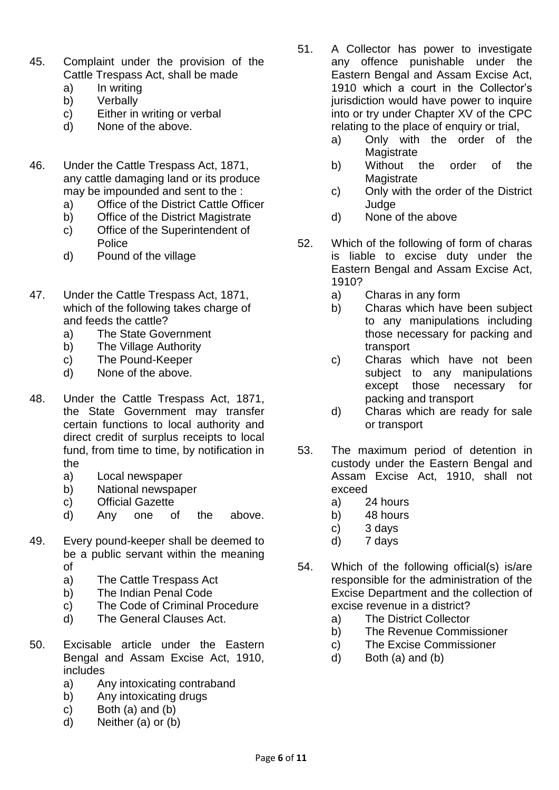- 45. Complaint under the provision of the Cattle Trespass Act, shall be made
	- a) In writing
	- b) Verbally
	- c) Either in writing or verbal
	- d) None of the above.
- 46. Under the Cattle Trespass Act, 1871, any cattle damaging land or its produce may be impounded and sent to the :
	- a) Office of the District Cattle Officer
	- b) Office of the District Magistrate
	- c) Office of the Superintendent of **Police**
	- d) Pound of the village
- 47. Under the Cattle Trespass Act, 1871, which of the following takes charge of and feeds the cattle?
	- a) The State Government
	- b) The Village Authority
	- c) The Pound-Keeper
	- d) None of the above.
- 48. Under the Cattle Trespass Act, 1871, the State Government may transfer certain functions to local authority and direct credit of surplus receipts to local fund, from time to time, by notification in the
	- a) Local newspaper
	- b) National newspaper
	- c) Official Gazette
	- d) Any one of the above.
- 49. Every pound-keeper shall be deemed to be a public servant within the meaning of
	- a) The Cattle Trespass Act
	- b) The Indian Penal Code
	- c) The Code of Criminal Procedure
	- d) The General Clauses Act.
- 50. Excisable article under the Eastern Bengal and Assam Excise Act, 1910, includes
	- a) Any intoxicating contraband
	- b) Any intoxicating drugs
	- c) Both (a) and (b)
	- d) Neither (a) or (b)
- 51. A Collector has power to investigate any offence punishable under the Eastern Bengal and Assam Excise Act, 1910 which a court in the Collector's jurisdiction would have power to inquire into or try under Chapter XV of the CPC relating to the place of enquiry or trial,
	- a) Only with the order of the **Magistrate**
	- b) Without the order of the Magistrate
	- c) Only with the order of the District Judge
	- d) None of the above
- 52. Which of the following of form of charas is liable to excise duty under the Eastern Bengal and Assam Excise Act, 1910?
	- a) Charas in any form
	- b) Charas which have been subject to any manipulations including those necessary for packing and transport
	- c) Charas which have not been subject to any manipulations except those necessary for packing and transport
	- d) Charas which are ready for sale or transport
- 53. The maximum period of detention in custody under the Eastern Bengal and Assam Excise Act, 1910, shall not exceed
	- a) 24 hours
	- b) 48 hours
	- c) 3 days
	- d) 7 days
- 54. Which of the following official(s) is/are responsible for the administration of the Excise Department and the collection of excise revenue in a district?
	- a) The District Collector
	- b) The Revenue Commissioner
	- c) The Excise Commissioner
	- d) Both (a) and (b)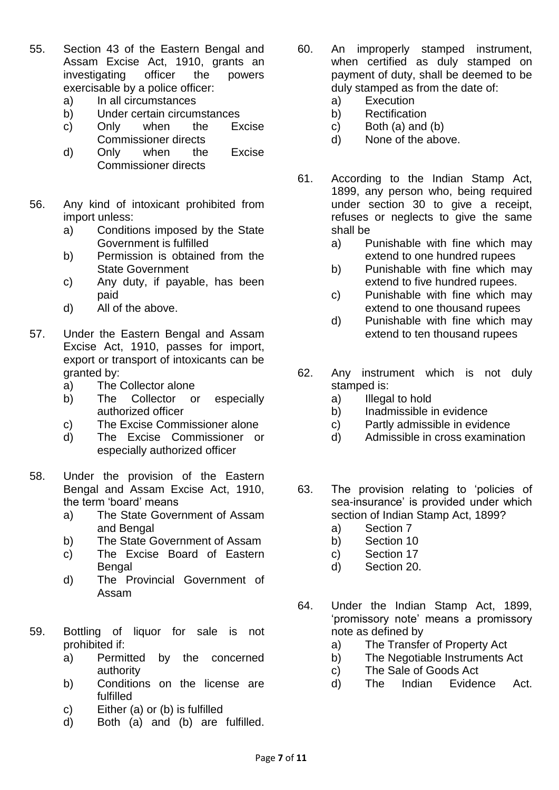- 55. Section 43 of the Eastern Bengal and Assam Excise Act, 1910, grants an investigating officer the powers exercisable by a police officer:
	- a) In all circumstances
	- b) Under certain circumstances
	- c) Only when the Excise Commissioner directs
	- d) Only when the Excise Commissioner directs
- 56. Any kind of intoxicant prohibited from import unless:
	- a) Conditions imposed by the State Government is fulfilled
	- b) Permission is obtained from the State Government
	- c) Any duty, if payable, has been paid
	- d) All of the above.
- 57. Under the Eastern Bengal and Assam Excise Act, 1910, passes for import, export or transport of intoxicants can be granted by:
	- a) The Collector alone
	- b) The Collector or especially authorized officer
	- c) The Excise Commissioner alone
	- d) The Excise Commissioner or especially authorized officer
- 58. Under the provision of the Eastern Bengal and Assam Excise Act, 1910, the term 'board' means
	- a) The State Government of Assam and Bengal
	- b) The State Government of Assam
	- c) The Excise Board of Eastern Bengal
	- d) The Provincial Government of Assam
- 59. Bottling of liquor for sale is not prohibited if:
	- a) Permitted by the concerned authority
	- b) Conditions on the license are fulfilled
	- c) Either (a) or (b) is fulfilled
	- d) Both (a) and (b) are fulfilled.
- 60. An improperly stamped instrument, when certified as duly stamped on payment of duty, shall be deemed to be duly stamped as from the date of:
	- a) Execution
	- b) Rectification
	- c) Both (a) and (b)
	- d) None of the above.
- 61. According to the Indian Stamp Act, 1899, any person who, being required under section 30 to give a receipt, refuses or neglects to give the same shall be
	- a) Punishable with fine which may extend to one hundred rupees
	- b) Punishable with fine which may extend to five hundred rupees.
	- c) Punishable with fine which may extend to one thousand rupees
	- d) Punishable with fine which may extend to ten thousand rupees
- 62. Any instrument which is not duly stamped is:
	- a) Illegal to hold
	- b) Inadmissible in evidence
	- c) Partly admissible in evidence
	- d) Admissible in cross examination
- 63. The provision relating to 'policies of sea-insurance' is provided under which section of Indian Stamp Act, 1899?
	- a) Section 7
	- b) Section 10
	- c) Section 17
	- d) Section 20.
- 64. Under the Indian Stamp Act, 1899, 'promissory note' means a promissory note as defined by
	- a) The Transfer of Property Act
	- b) The Negotiable Instruments Act
	- c) The Sale of Goods Act
	- d) The Indian Evidence Act.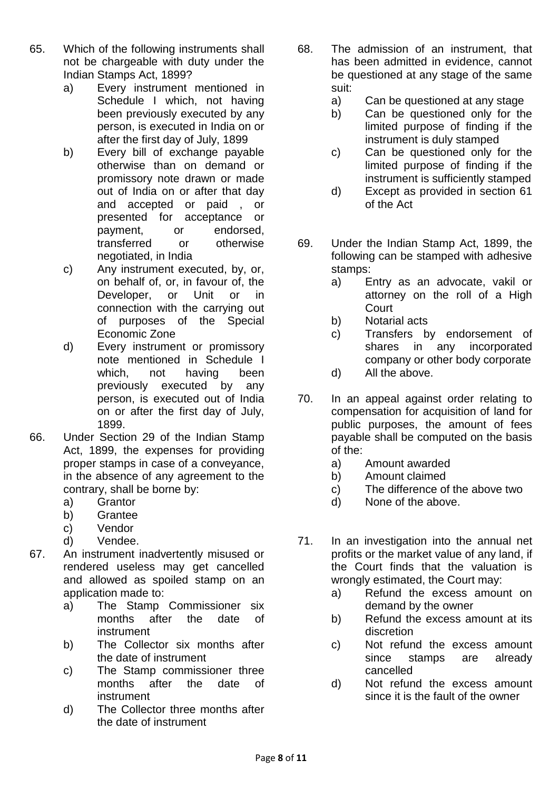- 65. Which of the following instruments shall not be chargeable with duty under the Indian Stamps Act, 1899?
	- a) Every instrument mentioned in Schedule I which, not having been previously executed by any person, is executed in India on or after the first day of July, 1899
	- b) Every bill of exchange payable otherwise than on demand or promissory note drawn or made out of India on or after that day and accepted or paid , or presented for acceptance or payment, or endorsed, transferred or otherwise negotiated, in India
	- c) Any instrument executed, by, or, on behalf of, or, in favour of, the Developer, or Unit or in connection with the carrying out of purposes of the Special Economic Zone
	- d) Every instrument or promissory note mentioned in Schedule I which, not having been previously executed by any person, is executed out of India on or after the first day of July, 1899.
- 66. Under Section 29 of the Indian Stamp Act, 1899, the expenses for providing proper stamps in case of a conveyance, in the absence of any agreement to the contrary, shall be borne by:
	- a) Grantor
	- b) Grantee
	- c) Vendor
	- d) Vendee.
- 67. An instrument inadvertently misused or rendered useless may get cancelled and allowed as spoiled stamp on an application made to:
	- a) The Stamp Commissioner six months after the date of instrument
	- b) The Collector six months after the date of instrument
	- c) The Stamp commissioner three months after the date of instrument
	- d) The Collector three months after the date of instrument
- 68. The admission of an instrument, that has been admitted in evidence, cannot be questioned at any stage of the same suit:
	- a) Can be questioned at any stage
	- b) Can be questioned only for the limited purpose of finding if the instrument is duly stamped
	- c) Can be questioned only for the limited purpose of finding if the instrument is sufficiently stamped
	- d) Except as provided in section 61 of the Act
- 69. Under the Indian Stamp Act, 1899, the following can be stamped with adhesive stamps:
	- a) Entry as an advocate, vakil or attorney on the roll of a High **Court**
	- b) Notarial acts
	- c) Transfers by endorsement of shares in any incorporated company or other body corporate
	- d) All the above.
- 70. In an appeal against order relating to compensation for acquisition of land for public purposes, the amount of fees payable shall be computed on the basis of the:
	- a) Amount awarded
	- b) Amount claimed
	- c) The difference of the above two
	- d) None of the above.
- 71. In an investigation into the annual net profits or the market value of any land, if the Court finds that the valuation is wrongly estimated, the Court may:
	- a) Refund the excess amount on demand by the owner
	- b) Refund the excess amount at its discretion
	- c) Not refund the excess amount since stamps are already cancelled
	- d) Not refund the excess amount since it is the fault of the owner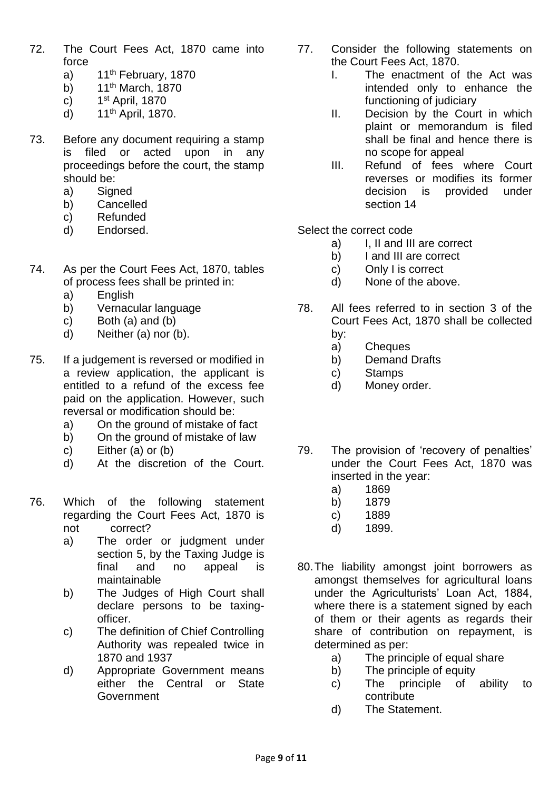- 72. The Court Fees Act, 1870 came into force
	- a)  $11<sup>th</sup>$  February, 1870
	- b)  $11<sup>th</sup> March, 1870$
	- $c)$ 1st April, 1870
	- d) 11th April, 1870.
- 73. Before any document requiring a stamp is filed or acted upon in any proceedings before the court, the stamp should be:
	- a) Signed
	- b) Cancelled
	- c) Refunded
	- d) Endorsed.
- 74. As per the Court Fees Act, 1870, tables of process fees shall be printed in:
	- a) English
	- b) Vernacular language
	- c) Both (a) and (b)
	- d) Neither (a) nor (b).
- 75. If a judgement is reversed or modified in a review application, the applicant is entitled to a refund of the excess fee paid on the application. However, such reversal or modification should be:
	- a) On the ground of mistake of fact
	- b) On the ground of mistake of law
	- c) Either (a) or (b)
	- d) At the discretion of the Court.
- 76. Which of the following statement regarding the Court Fees Act, 1870 is not correct?
	- a) The order or judgment under section 5, by the Taxing Judge is final and no appeal is maintainable
	- b) The Judges of High Court shall declare persons to be taxingofficer.
	- c) The definition of Chief Controlling Authority was repealed twice in 1870 and 1937
	- d) Appropriate Government means either the Central or State Government
- 77. Consider the following statements on the Court Fees Act, 1870.
	- I. The enactment of the Act was intended only to enhance the functioning of judiciary
	- II. Decision by the Court in which plaint or memorandum is filed shall be final and hence there is no scope for appeal
	- III. Refund of fees where Court reverses or modifies its former decision is provided under section 14
- Select the correct code
	- a) I, II and III are correct
	- b) I and III are correct
	- c) Only I is correct
	- d) None of the above.
- 78. All fees referred to in section 3 of the Court Fees Act, 1870 shall be collected by:
	- a) Cheques
	- b) Demand Drafts
	- c) Stamps
	- d) Money order.
- 79. The provision of 'recovery of penalties' under the Court Fees Act, 1870 was inserted in the year:
	- a) 1869
	- b) 1879
	- c) 1889
	- d) 1899.
- 80.The liability amongst joint borrowers as amongst themselves for agricultural loans under the Agriculturists' Loan Act, 1884, where there is a statement signed by each of them or their agents as regards their share of contribution on repayment, is determined as per:
	- a) The principle of equal share
	- b) The principle of equity
	- c) The principle of ability to contribute
	- d) The Statement.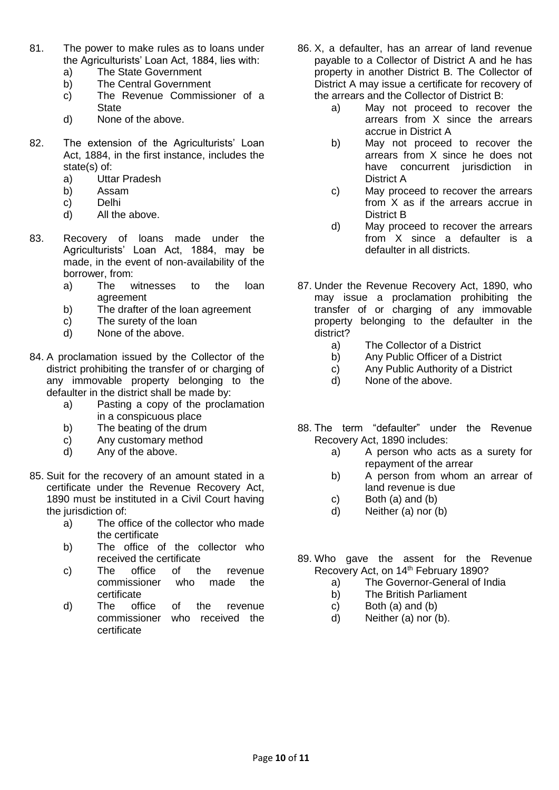- 81. The power to make rules as to loans under the Agriculturists' Loan Act, 1884, lies with:
	- a) The State Government
	- b) The Central Government
	- c) The Revenue Commissioner of a **State**
	- d) None of the above.
- 82. The extension of the Agriculturists' Loan Act, 1884, in the first instance, includes the state(s) of:
	- a) Uttar Pradesh
	- b) Assam
	- c) Delhi
	- d) All the above.
- 83. Recovery of loans made under the Agriculturists' Loan Act, 1884, may be made, in the event of non-availability of the borrower, from:
	- a) The witnesses to the loan agreement
	- b) The drafter of the loan agreement
	- c) The surety of the loan
	- d) None of the above.
- 84. A proclamation issued by the Collector of the district prohibiting the transfer of or charging of any immovable property belonging to the defaulter in the district shall be made by:
	- a) Pasting a copy of the proclamation in a conspicuous place
	- b) The beating of the drum
	- c) Any customary method
	- d) Any of the above.
- 85. Suit for the recovery of an amount stated in a certificate under the Revenue Recovery Act, 1890 must be instituted in a Civil Court having the jurisdiction of:
	- a) The office of the collector who made the certificate
	- b) The office of the collector who received the certificate
	- c) The office of the revenue commissioner who made the certificate
	- d) The office of the revenue commissioner who received the certificate
- 86. X, a defaulter, has an arrear of land revenue payable to a Collector of District A and he has property in another District B. The Collector of District A may issue a certificate for recovery of the arrears and the Collector of District B:
	- a) May not proceed to recover the arrears from X since the arrears accrue in District A
	- b) May not proceed to recover the arrears from X since he does not have concurrent jurisdiction in District A
	- c) May proceed to recover the arrears from X as if the arrears accrue in District B
	- d) May proceed to recover the arrears from X since a defaulter is a defaulter in all districts.
- 87. Under the Revenue Recovery Act, 1890, who may issue a proclamation prohibiting the transfer of or charging of any immovable property belonging to the defaulter in the district?
	- a) The Collector of a District
	- b) Any Public Officer of a District
	- c) Any Public Authority of a District
	- d) None of the above.
- 88. The term "defaulter" under the Revenue Recovery Act, 1890 includes:
	- a) A person who acts as a surety for repayment of the arrear
	- b) A person from whom an arrear of land revenue is due
	- c) Both (a) and (b)
	- d) Neither (a) nor (b)
- 89. Who gave the assent for the Revenue Recovery Act, on 14<sup>th</sup> February 1890?
	- a) The Governor-General of India
	- b) The British Parliament
	- c) Both (a) and (b)
	- d) Neither (a) nor (b).